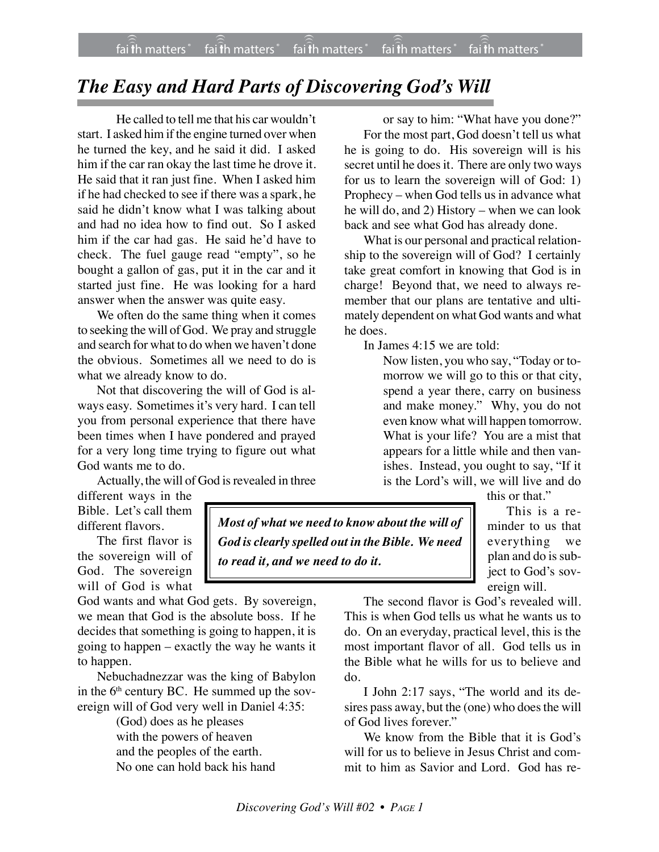## *The Easy and Hard Parts of Discovering God's Will*

He called to tell me that his car wouldn't start. I asked him if the engine turned over when he turned the key, and he said it did. I asked him if the car ran okay the last time he drove it. He said that it ran just fine. When I asked him if he had checked to see if there was a spark, he said he didn't know what I was talking about and had no idea how to find out. So I asked him if the car had gas. He said he'd have to check. The fuel gauge read "empty", so he bought a gallon of gas, put it in the car and it started just fine. He was looking for a hard answer when the answer was quite easy.

We often do the same thing when it comes to seeking the will of God. We pray and struggle and search for what to do when we haven't done the obvious. Sometimes all we need to do is what we already know to do.

Not that discovering the will of God is always easy. Sometimes it's very hard. I can tell you from personal experience that there have been times when I have pondered and prayed for a very long time trying to figure out what God wants me to do.

Actually, the will of God is revealed in three

different ways in the Bible. Let's call them different flavors.

The first flavor is the sovereign will of God. The sovereign will of God is what

God wants and what God gets. By sovereign, we mean that God is the absolute boss. If he decides that something is going to happen, it is going to happen – exactly the way he wants it to happen.

Nebuchadnezzar was the king of Babylon in the  $6<sup>th</sup>$  century BC. He summed up the sovereign will of God very well in Daniel 4:35:

> (God) does as he pleases with the powers of heaven and the peoples of the earth. No one can hold back his hand

or say to him: "What have you done?" For the most part, God doesn't tell us what he is going to do. His sovereign will is his secret until he does it. There are only two ways for us to learn the sovereign will of God: 1) Prophecy – when God tells us in advance what he will do, and 2) History – when we can look back and see what God has already done.

What is our personal and practical relationship to the sovereign will of God? I certainly take great comfort in knowing that God is in charge! Beyond that, we need to always remember that our plans are tentative and ultimately dependent on what God wants and what he does.

In James 4:15 we are told:

Now listen, you who say, "Today or tomorrow we will go to this or that city, spend a year there, carry on business and make money." Why, you do not even know what will happen tomorrow. What is your life? You are a mist that appears for a little while and then vanishes. Instead, you ought to say, "If it is the Lord's will, we will live and do

this or that."

This is a reminder to us that everything we plan and do is subject to God's sovereign will.

The second flavor is God's revealed will. This is when God tells us what he wants us to do. On an everyday, practical level, this is the most important flavor of all. God tells us in the Bible what he wills for us to believe and do.

I John 2:17 says, "The world and its desires pass away, but the (one) who does the will of God lives forever."

We know from the Bible that it is God's will for us to believe in Jesus Christ and commit to him as Savior and Lord. God has re-

*Most of what we need to know about the will of God is clearly spelled out in the Bible. We need*

*to read it, and we need to do it.*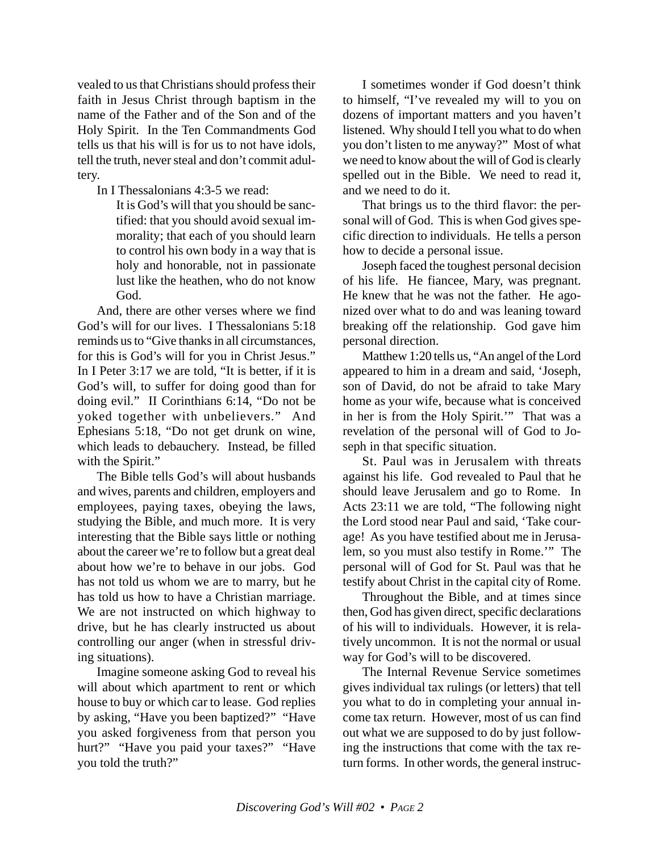vealed to us that Christians should profess their faith in Jesus Christ through baptism in the name of the Father and of the Son and of the Holy Spirit. In the Ten Commandments God tells us that his will is for us to not have idols, tell the truth, never steal and don't commit adultery.

In I Thessalonians 4:3-5 we read:

It is God's will that you should be sanctified: that you should avoid sexual immorality; that each of you should learn to control his own body in a way that is holy and honorable, not in passionate lust like the heathen, who do not know God.

And, there are other verses where we find God's will for our lives. I Thessalonians 5:18 reminds us to "Give thanks in all circumstances, for this is God's will for you in Christ Jesus." In I Peter 3:17 we are told, "It is better, if it is God's will, to suffer for doing good than for doing evil."II Corinthians 6:14, "Do not be yoked together with unbelievers*.*" And Ephesians 5:18, "Do not get drunk on wine, which leads to debauchery. Instead, be filled with the Spirit."

The Bible tells God's will about husbands and wives, parents and children, employers and employees, paying taxes, obeying the laws, studying the Bible, and much more. It is very interesting that the Bible says little or nothing about the career we're to follow but a great deal about how we're to behave in our jobs. God has not told us whom we are to marry, but he has told us how to have a Christian marriage. We are not instructed on which highway to drive, but he has clearly instructed us about controlling our anger (when in stressful driving situations).

Imagine someone asking God to reveal his will about which apartment to rent or which house to buy or which car to lease. God replies by asking, "Have you been baptized?" "Have you asked forgiveness from that person you hurt?" "Have you paid your taxes?" "Have you told the truth?"

I sometimes wonder if God doesn't think to himself, "I've revealed my will to you on dozens of important matters and you haven't listened. Why should I tell you what to do when you don't listen to me anyway?" Most of what we need to know about the will of God is clearly spelled out in the Bible. We need to read it, and we need to do it.

That brings us to the third flavor: the personal will of God. This is when God gives specific direction to individuals. He tells a person how to decide a personal issue.

Joseph faced the toughest personal decision of his life. He fiancee, Mary, was pregnant. He knew that he was not the father. He agonized over what to do and was leaning toward breaking off the relationship. God gave him personal direction.

Matthew 1:20 tells us, "An angel of the Lord appeared to him in a dream and said, 'Joseph, son of David, do not be afraid to take Mary home as your wife, because what is conceived in her is from the Holy Spirit.'" That was a revelation of the personal will of God to Joseph in that specific situation.

St. Paul was in Jerusalem with threats against his life. God revealed to Paul that he should leave Jerusalem and go to Rome. In Acts 23:11 we are told, "The following night the Lord stood near Paul and said, 'Take courage! As you have testified about me in Jerusalem, so you must also testify in Rome.'" The personal will of God for St. Paul was that he testify about Christ in the capital city of Rome.

Throughout the Bible, and at times since then, God has given direct, specific declarations of his will to individuals. However, it is relatively uncommon. It is not the normal or usual way for God's will to be discovered.

The Internal Revenue Service sometimes gives individual tax rulings (or letters) that tell you what to do in completing your annual income tax return. However, most of us can find out what we are supposed to do by just following the instructions that come with the tax return forms. In other words, the general instruc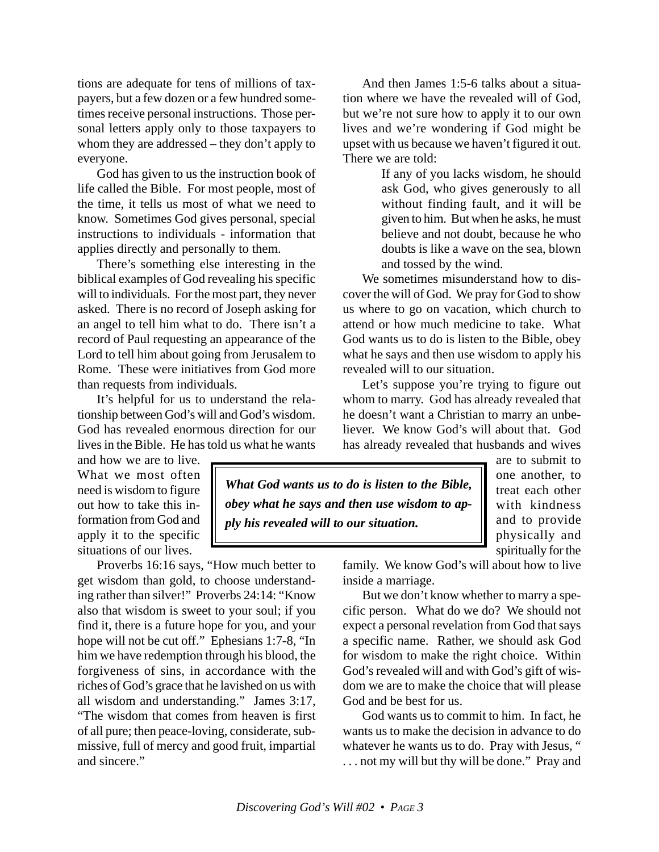tions are adequate for tens of millions of taxpayers, but a few dozen or a few hundred sometimes receive personal instructions. Those personal letters apply only to those taxpayers to whom they are addressed – they don't apply to everyone.

God has given to us the instruction book of life called the Bible. For most people, most of the time, it tells us most of what we need to know. Sometimes God gives personal, special instructions to individuals - information that applies directly and personally to them.

There's something else interesting in the biblical examples of God revealing his specific will to individuals. For the most part, they never asked. There is no record of Joseph asking for an angel to tell him what to do. There isn't a record of Paul requesting an appearance of the Lord to tell him about going from Jerusalem to Rome. These were initiatives from God more than requests from individuals.

It's helpful for us to understand the relationship between God's will and God's wisdom. God has revealed enormous direction for our lives in the Bible. He has told us what he wants

And then James 1:5-6 talks about a situation where we have the revealed will of God, but we're not sure how to apply it to our own lives and we're wondering if God might be upset with us because we haven't figured it out. There we are told:

> If any of you lacks wisdom, he should ask God, who gives generously to all without finding fault, and it will be given to him. But when he asks, he must believe and not doubt, because he who doubts is like a wave on the sea, blown and tossed by the wind.

We sometimes misunderstand how to discover the will of God. We pray for God to show us where to go on vacation, which church to attend or how much medicine to take. What God wants us to do is listen to the Bible, obey what he says and then use wisdom to apply his revealed will to our situation.

Let's suppose you're trying to figure out whom to marry. God has already revealed that he doesn't want a Christian to marry an unbeliever. We know God's will about that. God has already revealed that husbands and wives

and how we are to live. What we most often need is wisdom to figure out how to take this information from God and apply it to the specific situations of our lives.

Proverbs 16:16 says, "How much better to get wisdom than gold, to choose understanding rather than silver!" Proverbs 24:14: "Know also that wisdom is sweet to your soul; if you find it, there is a future hope for you, and your hope will not be cut off." Ephesians 1:7-8, "In him we have redemption through his blood, the forgiveness of sins, in accordance with the riches of God's grace that he lavished on us with all wisdom and understanding." James 3:17, "The wisdom that comes from heaven is first of all pure; then peace-loving, considerate, submissive, full of mercy and good fruit, impartial and sincere."

*What God wants us to do is listen to the Bible, obey what he says and then use wisdom to apply his revealed will to our situation.*

are to submit to one another, to treat each other with kindness and to provide physically and spiritually for the

family. We know God's will about how to live inside a marriage.

But we don't know whether to marry a specific person. What do we do? We should not expect a personal revelation from God that says a specific name. Rather, we should ask God for wisdom to make the right choice. Within God's revealed will and with God's gift of wisdom we are to make the choice that will please God and be best for us.

God wants us to commit to him. In fact, he wants us to make the decision in advance to do whatever he wants us to do. Pray with Jesus, " . . . not my will but thy will be done." Pray and